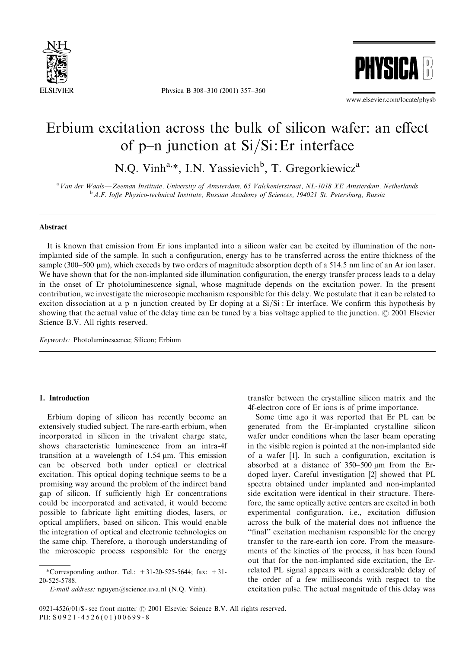

Physica B 308–310 (2001) 357–360



www.elsevier.com/locate/physb

# Erbium excitation across the bulk of silicon wafer: an effect of p–n junction at  $Si/Si:Er$  interface

N.Q. Vinh<sup>a,\*</sup>, I.N. Yassievich<sup>b</sup>, T. Gregorkiewicz<sup>a</sup>

a Van der Waals-Zeeman Institute, University of Amsterdam, 65 Valckenierstraat, NL-1018 XE Amsterdam, Netherlands <sup>b</sup> A.F. Ioffe Physico-technical Institute, Russian Academy of Sciences, 194021 St. Petersburg, Russia

# Abstract

It is known that emission from Er ions implanted into a silicon wafer can be excited by illumination of the nonimplanted side of the sample. In such a configuration, energy has to be transferred across the entire thickness of the sample (300–500  $\mu$ m), which exceeds by two orders of magnitude absorption depth of a 514.5 nm line of an Ar ion laser. We have shown that for the non-implanted side illumination configuration, the energy transfer process leads to a delay in the onset of Er photoluminescence signal, whose magnitude depends on the excitation power. In the present contribution, we investigate the microscopic mechanism responsible for this delay. We postulate that it can be related to exciton dissociation at a p–n junction created by Er doping at a  $Si/Si$ : Er interface. We confirm this hypothesis by showing that the actual value of the delay time can be tuned by a bias voltage applied to the junction.  $\odot$  2001 Elsevier Science B.V. All rights reserved.

Keywords: Photoluminescence; Silicon; Erbium

## 1. Introduction

Erbium doping of silicon has recently become an extensively studied subject. The rare-earth erbium, when incorporated in silicon in the trivalent charge state, shows characteristic luminescence from an intra-4f transition at a wavelength of  $1.54 \mu m$ . This emission can be observed both under optical or electrical excitation. This optical doping technique seems to be a promising way around the problem of the indirect band gap of silicon. If sufficiently high Er concentrations could be incorporated and activated, it would become possible to fabricate light emitting diodes, lasers, or optical amplifiers, based on silicon. This would enable the integration of optical and electronic technologies on the same chip. Therefore, a thorough understanding of the microscopic process responsible for the energy

transfer between the crystalline silicon matrix and the 4f-electron core of Er ions is of prime importance.

Some time ago it was reported that Er PL can be generated from the Er-implanted crystalline silicon wafer under conditions when the laser beam operating in the visible region is pointed at the non-implanted side ofa wafer [1]. In such a configuration, excitation is absorbed at a distance of  $350-500 \mu m$  from the Erdoped layer. Careful investigation [2] showed that PL spectra obtained under implanted and non-implanted side excitation were identical in their structure. Therefore, the same optically active centers are excited in both experimental configuration, i.e., excitation diffusion across the bulk of the material does not influence the ''final'' excitation mechanism responsible for the energy transfer to the rare-earth ion core. From the measurements of the kinetics of the process, it has been found out that for the non-implanted side excitation, the Errelated PL signal appears with a considerable delay of the order of a few milliseconds with respect to the excitation pulse. The actual magnitude of this delay was

<sup>\*</sup>Corresponding author. Tel.:  $+31-20-525-5644$ ; fax:  $+31-$ 20-525-5788.

E-mail address: nguyen@science.uva.nl (N.Q. Vinh).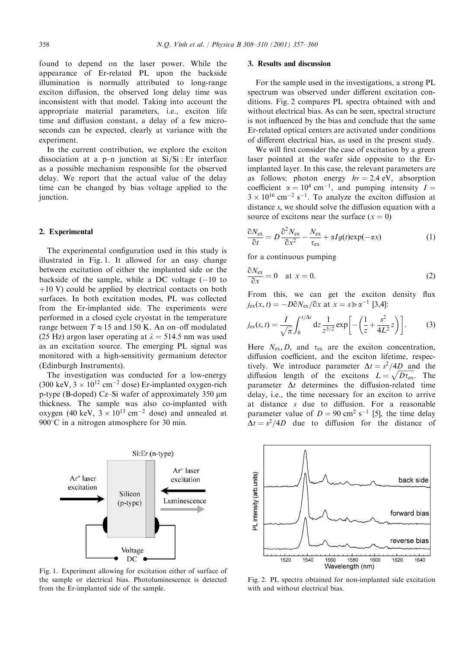found to depend on the laser power. While the appearance of Er-related PL upon the backside illumination is normally attributed to long-range exciton diffusion, the observed long delay time was inconsistent with that model. Taking into account the appropriate material parameters, i.e., exciton life time and diffusion constant, a delay of a few microseconds can be expected, clearly at variance with the experiment.

In the current contribution, we explore the exciton dissociation at a p–n junction at  $Si/Si : Er$  interface as a possible mechanism responsible for the observed delay. We report that the actual value of the delay time can be changed by bias voltage applied to the junction.

#### 2. Experimental

The experimental configuration used in this study is illustrated in Fig. 1. It allowed for an easy change between excitation of either the implanted side or the backside of the sample, while a DC voltage  $(-10)$  to  $+10$  V) could be applied by electrical contacts on both surfaces. In both excitation modes, PL was collected from the Er-implanted side. The experiments were performed in a closed cycle cryostat in the temperature range between  $T \approx 15$  and 150 K. An on–off modulated (25 Hz) argon laser operating at  $\lambda = 514.5$  nm was used as an excitation source. The emerging PL signal was monitored with a high-sensitivity germanium detector (Edinburgh Instruments).

The investigation was conducted for a low-energy (300 keV,  $3 \times 10^{12}$  cm<sup>-2</sup> dose) Er-implanted oxygen-rich p-type (B-doped) Cz-Si wafer of approximately 350  $\mu$ m thickness. The sample was also co-implanted with oxygen (40 keV,  $3 \times 10^{13}$  cm<sup>-2</sup> dose) and annealed at  $900^{\circ}$ C in a nitrogen atmosphere for 30 min.



Fig. 1. Experiment allowing for excitation either of surface of the sample or electrical bias. Photoluminescence is detected from the Er-implanted side of the sample.

#### 3. Results and discussion

For the sample used in the investigations, a strong PL spectrum was observed under different excitation conditions. Fig. 2 compares PL spectra obtained with and without electrical bias. As can be seen, spectral structure is not influenced by the bias and conclude that the same Er-related optical centers are activated under conditions of different electrical bias, as used in the present study.

We will first consider the case of excitation by a green laser pointed at the wafer side opposite to the Erimplanted layer. In this case, the relevant parameters are as follows: photon energy  $hv = 2.4$  eV, absorption coefficient  $\alpha = 10^4$  cm<sup>-1</sup>, and pumping intensity  $I =$  $3 \times 10^{16}$  cm<sup>-2</sup> s<sup>-1</sup>. To analyze the exciton diffusion at distance s, we should solve the diffusion equation with a source of excitons near the surface  $(x = 0)$ 

$$
\frac{\partial N_{\text{ex}}}{\partial t} = D \frac{\partial^2 N_{\text{ex}}}{\partial x^2} - \frac{N_{\text{ex}}}{\tau_{\text{ex}}} + \alpha I g(t) \text{exp}(-\alpha x) \tag{1}
$$

for a continuous pumping

$$
\frac{\partial N_{\text{ex}}}{\partial x} = 0 \quad \text{at } x = 0. \tag{2}
$$

From this, we can get the exciton density flux  $j_{\text{ex}}(x, t) = -D\partial N_{\text{ex}}/\partial x$  at  $x = s \ge \alpha^{-1}$  [3,4]:

$$
j_{\text{ex}}(s,t) = \frac{I}{\sqrt{\pi}} \int_0^{t/\Delta t} dz \frac{1}{z^{3/2}} \exp\left[-\left(\frac{1}{z} + \frac{s^2}{4L^2} z\right)\right].
$$
 (3)

Here  $N_{\rm ex}$ , D, and  $\tau_{\rm ex}$  are the exciton concentration, diffusion coefficient, and the exciton lifetime, respectively. We introduce parameter  $\Delta t = s^2/4D$  and the diffusion length of the excitons  $L = \sqrt{D \tau_{\text{ex}}}.$  The parameter  $\Delta t$  determines the diffusion-related time delay, i.e., the time necessary for an exciton to arrive at distance s due to diffusion. For a reasonable parameter value of  $D = 90 \text{ cm}^2 \text{ s}^{-1}$  [5], the time delay  $\Delta t = s^2/4D$  due to diffusion for the distance of



Fig. 2. PL spectra obtained for non-implanted side excitation with and without electrical bias.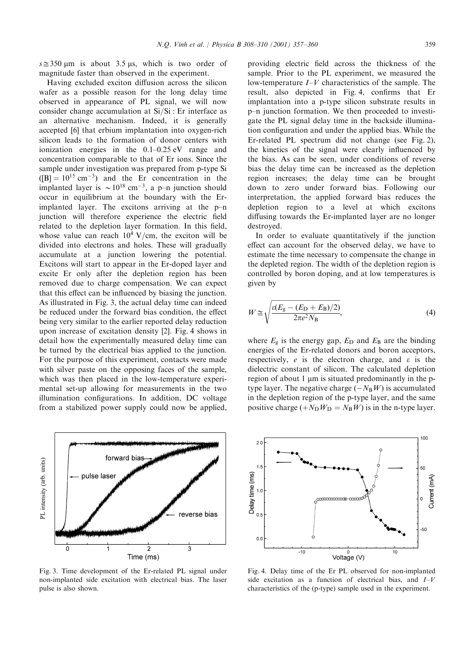$s \approx 350$  µm is about 3.5 µs, which is two order of magnitude faster than observed in the experiment.

Having excluded exciton diffusion across the silicon wafer as a possible reason for the long delay time observed in appearance of PL signal, we will now consider change accumulation at  $Si/Si$ : Er interface as an alternative mechanism. Indeed, it is generally accepted [6] that erbium implantation into oxygen-rich silicon leads to the formation of donor centers with ionization energies in the 0.1–0:25 eV range and concentration comparable to that of Er ions. Since the sample under investigation was prepared from p-type Si  $([B] = 10^{15}$  cm<sup>-3</sup>) and the Er concentration in the implanted layer is  $\sim 10^{18}$  cm<sup>-3</sup>, a p–n junction should occur in equilibrium at the boundary with the Erimplanted layer. The excitons arriving at the p–n junction will therefore experience the electric field related to the depletion layer formation. In this field, whose value can reach  $10^4$  V/cm, the exciton will be divided into electrons and holes. These will gradually accumulate at a junction lowering the potential. Excitons will start to appear in the Er-doped layer and excite Er only after the depletion region has been removed due to charge compensation. We can expect that this effect can be influenced by biasing the junction. As illustrated in Fig. 3, the actual delay time can indeed be reduced under the forward bias condition, the effect being very similar to the earlier reported delay reduction upon increase of excitation density [2]. Fig. 4 shows in detail how the experimentally measured delay time can be turned by the electrical bias applied to the junction. For the purpose of this experiment, contacts were made with silver paste on the opposing faces of the sample, which was then placed in the low-temperature experimental set-up allowing for measurements in the two illumination configurations. In addition, DC voltage from a stabilized power supply could now be applied,



Fig. 3. Time development of the Er-related PL signal under non-implanted side excitation with electrical bias. The laser pulse is also shown.

providing electric field across the thickness of the sample. Prior to the PL experiment, we measured the low-temperature  $I-V$  characteristics of the sample. The result, also depicted in Fig. 4, confirms that Er implantation into a p-type silicon substrate results in p–n junction formation. We then proceeded to investigate the PL signal delay time in the backside illumination configuration and under the applied bias. While the Er-related PL spectrum did not change (see Fig. 2), the kinetics of the signal were clearly influenced by the bias. As can be seen, under conditions of reverse bias the delay time can be increased as the depletion region increases; the delay time can be brought down to zero under forward bias. Following our interpretation, the applied forward bias reduces the depletion region to a level at which excitons diffusing towards the Er-implanted layer are no longer destroyed.

In order to evaluate quantitatively if the junction effect can account for the observed delay, we have to estimate the time necessary to compensate the change in the depleted region. The width of the depletion region is controlled by boron doping, and at low temperatures is given by

$$
W \cong \sqrt{\frac{\varepsilon (E_{\rm g} - (E_{\rm D} + E_{\rm B})/2)}{2\pi e^2 N_{\rm B}}},\tag{4}
$$

where  $E<sub>g</sub>$  is the energy gap,  $E<sub>D</sub>$  and  $E<sub>B</sub>$  are the binding energies of the Er-related donors and boron acceptors, respectively, e is the electron charge, and  $\varepsilon$  is the dielectric constant of silicon. The calculated depletion region of about 1 µm is situated predominantly in the ptype layer. The negative charge  $(-N_BW)$  is accumulated in the depletion region of the p-type layer, and the same positive charge  $(+N_{\rm D}W_{\rm D} = N_{\rm B}W)$  is in the n-type layer.



Fig. 4. Delay time of the Er PL observed for non-implanted side excitation as a function of electrical bias, and  $I-V$ characteristics of the (p-type) sample used in the experiment.